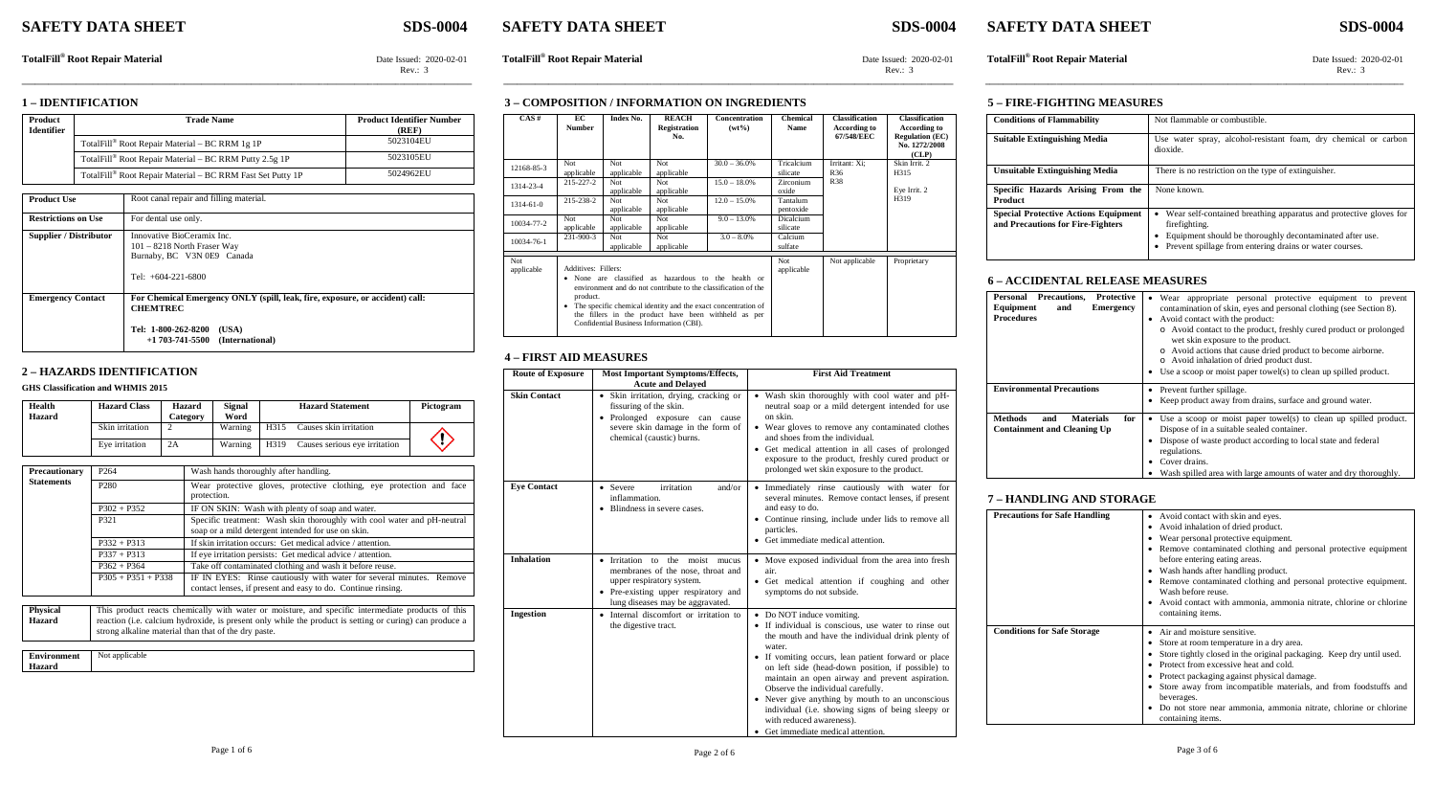# **SAFETY DATA SHEET SDS-0004 SAFETY DATA SHEET SDS-0004 SAFETY DATA SHEET SDS-0004**

TotalFill® Root Repair Material Date Issued: 2020-02-01<br>Rev.: 3<br>Rev.: 3<br>Rev.: 3 Rev.: 3 Rev.: 3 Rev.: 3

**1 – IDENTIFICATION**

| Product<br><b>Identifier</b> | <b>Trade Name</b>                                          | <b>Product Identifier Number</b><br>(REF) |
|------------------------------|------------------------------------------------------------|-------------------------------------------|
|                              | TotalFill® Root Repair Material – BC RRM 1g 1P             | 5023104EU                                 |
|                              | TotalFill® Root Repair Material – BC RRM Putty 2.5g 1P     | 5023105EU                                 |
|                              | TotalFill® Root Repair Material – BC RRM Fast Set Putty 1P | 5024962EU                                 |

| <b>Product Use</b>            | Root canal repair and filling material.                                                                                                                          |
|-------------------------------|------------------------------------------------------------------------------------------------------------------------------------------------------------------|
| <b>Restrictions on Use</b>    | For dental use only.                                                                                                                                             |
| <b>Supplier / Distributor</b> | Innovative BioCeramix Inc.<br>$101 - 8218$ North Fraser Way<br>Burnaby, BC V3N 0E9 Canada<br>Tel: $+604-221-6800$                                                |
| <b>Emergency Contact</b>      | For Chemical Emergency ONLY (spill, leak, fire, exposure, or accident) call:<br><b>CHEMTREC</b><br>Tel: 1-800-262-8200 (USA)<br>$+1703-741-5500$ (International) |

#### **2 – HAZARDS IDENTIFICATION**

#### **GHS Classification and WHMIS 2015**

| Health<br>Hazard | <b>Hazard Class</b> | Hazard<br>Category | <b>Signal</b><br>Word | <b>Hazard Statement</b> |                               | Pictogram |
|------------------|---------------------|--------------------|-----------------------|-------------------------|-------------------------------|-----------|
|                  | Skin irritation     |                    | Warning               | H315                    | Causes skin irritation        |           |
|                  | Eve irritation      | 2A                 | Warning               | H319                    | Causes serious eye irritation |           |

| Precautionary     | P <sub>264</sub>     | Wash hands thoroughly after handling.                                                                                               |  |  |  |  |  |
|-------------------|----------------------|-------------------------------------------------------------------------------------------------------------------------------------|--|--|--|--|--|
| <b>Statements</b> | P <sub>280</sub>     | Wear protective gloves, protective clothing, eye protection and face<br>protection.                                                 |  |  |  |  |  |
|                   | $P302 + P352$        | IF ON SKIN: Wash with plenty of soap and water.                                                                                     |  |  |  |  |  |
|                   | P321                 | Specific treatment: Wash skin thoroughly with cool water and pH-neutral<br>soap or a mild detergent intended for use on skin.       |  |  |  |  |  |
|                   | $P332 + P313$        | If skin irritation occurs: Get medical advice / attention.                                                                          |  |  |  |  |  |
| $P337 + P313$     |                      | If eye irritation persists: Get medical advice / attention.                                                                         |  |  |  |  |  |
|                   | $P362 + P364$        | Take off contaminated clothing and wash it before reuse.                                                                            |  |  |  |  |  |
|                   | $P305 + P351 + P338$ | IF IN EYES: Rinse cautiously with water for several minutes. Remove<br>contact lenses, if present and easy to do. Continue rinsing. |  |  |  |  |  |
| <b>Physical</b>   |                      | This product reacts chemically with water or moisture, and specific intermediate products of this                                   |  |  |  |  |  |

**Physical Hazard** This product reacts chemically with water or moisture, and specific intermediate products of this reaction (i.e. calcium hydroxide, is present only while the product is setting or curing) can produce a strong alkaline material than that of the dry paste.

**Environment Hazard** Not applicable

|                   | 3 – COMPOSITION / INFORMATION ON INGREDIENTS                                                                                                                                                                                                                                                                                               |                   |                                            |                           |                         |                                                            |                                                                                                  |
|-------------------|--------------------------------------------------------------------------------------------------------------------------------------------------------------------------------------------------------------------------------------------------------------------------------------------------------------------------------------------|-------------------|--------------------------------------------|---------------------------|-------------------------|------------------------------------------------------------|--------------------------------------------------------------------------------------------------|
| CAS#              | EС<br><b>Number</b>                                                                                                                                                                                                                                                                                                                        | Index No.         | <b>REACH</b><br><b>Registration</b><br>No. | Concentration<br>$(wt\%)$ | <b>Chemical</b><br>Name | <b>Classification</b><br><b>According to</b><br>67/548/EEC | <b>Classification</b><br><b>According to</b><br><b>Regulation (EC)</b><br>No. 1272/2008<br>(CLP) |
| 12168-85-3        | Not<br>applicable                                                                                                                                                                                                                                                                                                                          | Not<br>applicable | Not.<br>applicable                         | $30.0 - 36.0\%$           | Tricalcium<br>silicate  | Irritant: Xi:<br>R <sub>36</sub>                           | Skin Irrit. 2<br>H315                                                                            |
| 1314-23-4         | 215-227-2                                                                                                                                                                                                                                                                                                                                  | Not<br>applicable | Not.<br>applicable                         | $15.0 - 18.0\%$           | Zirconium<br>oxide      | <b>R38</b>                                                 | Eye Irrit. 2                                                                                     |
| $1314 - 61 - 0$   | 215-238-2                                                                                                                                                                                                                                                                                                                                  | Not<br>applicable | Not.<br>applicable                         | $12.0 - 15.0\%$           | Tantalum<br>pentoxide   |                                                            | H319                                                                                             |
| 10034-77-2        | Not<br>applicable                                                                                                                                                                                                                                                                                                                          | Not<br>applicable | Not<br>applicable                          | $9.0 - 13.0\%$            | Dicalcium<br>silicate   |                                                            |                                                                                                  |
| 10034-76-1        | 231-900-3                                                                                                                                                                                                                                                                                                                                  | Not<br>applicable | Not<br>applicable                          | $3.0 - 8.0\%$             | Calcium<br>sulfate      |                                                            |                                                                                                  |
| Not<br>applicable | Additives: Fillers:<br>• None are classified as hazardous to the health or<br>environment and do not contribute to the classification of the<br>product.<br>The specific chemical identity and the exact concentration of<br>$\bullet$<br>the fillers in the product have been withheld as per<br>Confidential Business Information (CBI). |                   |                                            |                           | Not<br>applicable       | Not applicable                                             | Proprietary                                                                                      |

**\_\_\_\_\_\_\_\_\_\_\_\_\_\_\_\_\_\_\_\_\_\_\_\_\_\_\_\_\_\_\_\_\_\_\_\_\_\_\_\_\_\_\_\_\_\_\_\_\_\_\_\_\_\_\_\_\_\_\_\_\_\_\_\_\_\_\_\_\_\_\_\_\_\_\_\_\_\_\_\_\_\_\_\_\_\_\_\_\_\_\_\_\_\_\_\_\_\_\_\_ \_\_\_\_\_\_\_\_\_\_\_\_\_\_\_\_\_\_\_\_\_\_\_\_\_\_\_\_\_\_\_\_\_\_\_\_\_\_\_\_\_\_\_\_\_\_\_\_\_\_\_\_\_\_\_\_\_\_\_\_\_\_\_\_\_\_\_\_\_\_\_\_\_\_\_\_\_\_\_\_\_\_\_\_\_\_\_\_\_\_\_\_\_\_\_\_\_\_\_\_ \_\_\_\_\_\_\_\_\_\_\_\_\_\_\_\_\_\_\_\_\_\_\_\_\_\_\_\_\_\_\_\_\_\_\_\_\_\_\_\_\_\_\_\_\_\_\_\_\_\_\_\_\_\_\_\_\_\_\_\_\_\_\_\_\_\_\_\_\_\_\_\_\_\_\_\_\_\_\_\_\_\_\_\_\_\_\_\_\_\_\_\_\_**

# **4 – FIRST AID MEASURES**

| <b>Route of Exposure</b> | <b>Most Important Symptoms/Effects,</b>                                                                                                                                       | <b>First Aid Treatment</b>                                                                                                                                                                                                                                                                                                                                                                                                                                                                                                      |
|--------------------------|-------------------------------------------------------------------------------------------------------------------------------------------------------------------------------|---------------------------------------------------------------------------------------------------------------------------------------------------------------------------------------------------------------------------------------------------------------------------------------------------------------------------------------------------------------------------------------------------------------------------------------------------------------------------------------------------------------------------------|
|                          | <b>Acute and Delayed</b>                                                                                                                                                      |                                                                                                                                                                                                                                                                                                                                                                                                                                                                                                                                 |
| <b>Skin Contact</b>      | • Skin irritation, drying, cracking or<br>fissuring of the skin.<br>• Prolonged exposure can cause<br>severe skin damage in the form of<br>chemical (caustic) burns.          | • Wash skin thoroughly with cool water and pH-<br>neutral soap or a mild detergent intended for use<br>on skin.<br>• Wear gloves to remove any contaminated clothes<br>and shoes from the individual.<br>• Get medical attention in all cases of prolonged<br>exposure to the product, freshly cured product or<br>prolonged wet skin exposure to the product.                                                                                                                                                                  |
| <b>Eve Contact</b>       | • Severe<br>irritation<br>and/or<br>inflammation.<br>• Blindness in severe cases.                                                                                             | Immediately rinse cautiously with water for<br>$\bullet$<br>several minutes. Remove contact lenses, if present<br>and easy to do.<br>• Continue rinsing, include under lids to remove all<br>particles.<br>• Get immediate medical attention.                                                                                                                                                                                                                                                                                   |
| <b>Inhalation</b>        | • Irritation to the moist mucus<br>membranes of the nose, throat and<br>upper respiratory system.<br>• Pre-existing upper respiratory and<br>lung diseases may be aggravated. | • Move exposed individual from the area into fresh<br>air.<br>• Get medical attention if coughing and other<br>symptoms do not subside.                                                                                                                                                                                                                                                                                                                                                                                         |
| <b>Ingestion</b>         | • Internal discomfort or irritation to<br>the digestive tract.                                                                                                                | • Do NOT induce vomiting.<br>• If individual is conscious, use water to rinse out<br>the mouth and have the individual drink plenty of<br>water.<br>• If vomiting occurs, lean patient forward or place<br>on left side (head-down position, if possible) to<br>maintain an open airway and prevent aspiration.<br>Observe the individual carefully.<br>• Never give anything by mouth to an unconscious<br>individual (i.e. showing signs of being sleepy or<br>with reduced awareness).<br>• Get immediate medical attention. |

# **5 – FIRE-FIGHTING MEASURES**

| <b>Conditions of Flammability</b>                                                | Not flammable or combustible.                                                                                                                                                                             |
|----------------------------------------------------------------------------------|-----------------------------------------------------------------------------------------------------------------------------------------------------------------------------------------------------------|
| <b>Suitable Extinguishing Media</b>                                              | Use water spray, alcohol-resistant foam, dry chemical or carbon<br>dioxide.                                                                                                                               |
| <b>Unsuitable Extinguishing Media</b>                                            | There is no restriction on the type of extinguisher.                                                                                                                                                      |
| Specific Hazards Arising From the<br><b>Product</b>                              | None known.                                                                                                                                                                                               |
| <b>Special Protective Actions Equipment</b><br>and Precautions for Fire-Fighters | Wear self-contained breathing apparatus and protective gloves for<br>firefighting.<br>Equipment should be thoroughly decontaminated after use.<br>Prevent spillage from entering drains or water courses. |

### **6 – ACCIDENTAL RELEASE MEASURES**

| Personal Precautions,<br><b>Protective</b><br>Equipment<br><b>Emergency</b><br>and<br>Procedures | Wear appropriate personal protective equipment to prevent<br>contamination of skin, eyes and personal clothing (see Section 8).<br>Avoid contact with the product:<br>o Avoid contact to the product, freshly cured product or prolonged<br>wet skin exposure to the product.<br>o Avoid actions that cause dried product to become airborne.<br>o Avoid inhalation of dried product dust. |
|--------------------------------------------------------------------------------------------------|--------------------------------------------------------------------------------------------------------------------------------------------------------------------------------------------------------------------------------------------------------------------------------------------------------------------------------------------------------------------------------------------|
|                                                                                                  | • Use a scoop or moist paper towel(s) to clean up spilled product.                                                                                                                                                                                                                                                                                                                         |
| <b>Environmental Precautions</b>                                                                 | Prevent further spillage.<br>Keep product away from drains, surface and ground water.                                                                                                                                                                                                                                                                                                      |
| <b>Methods</b><br><b>Materials</b><br>for<br>and<br><b>Containment and Cleaning Up</b>           | Use a scoop or moist paper towel(s) to clean up spilled product.<br>Dispose of in a suitable sealed container.<br>Dispose of waste product according to local state and federal<br>regulations.<br>Cover drains.<br>Wash spilled area with large amounts of water and dry thoroughly.                                                                                                      |

#### **7 – HANDLING AND STORAGE**

| <b>Precautions for Safe Handling</b> | • Avoid contact with skin and eyes.<br>Avoid inhalation of dried product.<br>Wear personal protective equipment.<br>Remove contaminated clothing and personal protective equipment<br>before entering eating areas.<br>Wash hands after handling product.<br>• Remove contaminated clothing and personal protective equipment.<br>Wash before reuse.<br>• Avoid contact with ammonia, ammonia nitrate, chlorine or chlorine<br>containing items. |
|--------------------------------------|--------------------------------------------------------------------------------------------------------------------------------------------------------------------------------------------------------------------------------------------------------------------------------------------------------------------------------------------------------------------------------------------------------------------------------------------------|
| <b>Conditions for Safe Storage</b>   | Air and moisture sensitive.<br>Store at room temperature in a dry area.<br>Store tightly closed in the original packaging. Keep dry until used.<br>Protect from excessive heat and cold.<br>Protect packaging against physical damage.<br>Store away from incompatible materials, and from foodstuffs and<br>beverages.<br>Do not store near ammonia, ammonia nitrate, chlorine or chlorine<br>containing items.                                 |